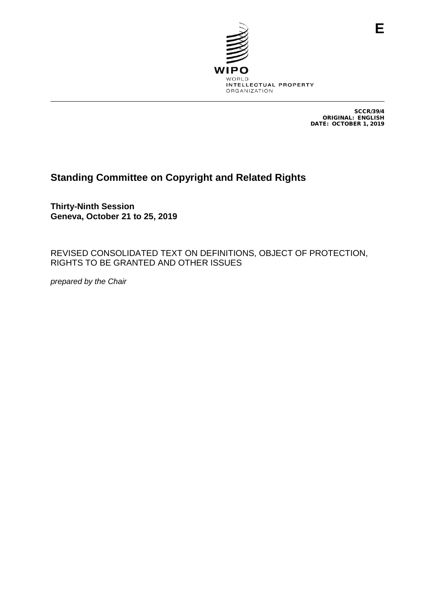

SCCR/39/4 ORIGINAL: ENGLISH DATE: OCTOBER 1, 2019

**E**

# **Standing Committee on Copyright and Related Rights**

**Thirty-Ninth Session Geneva, October 21 to 25, 2019**

REVISED CONSOLIDATED TEXT ON DEFINITIONS, OBJECT OF PROTECTION, RIGHTS TO BE GRANTED AND OTHER ISSUES

*prepared by the Chair*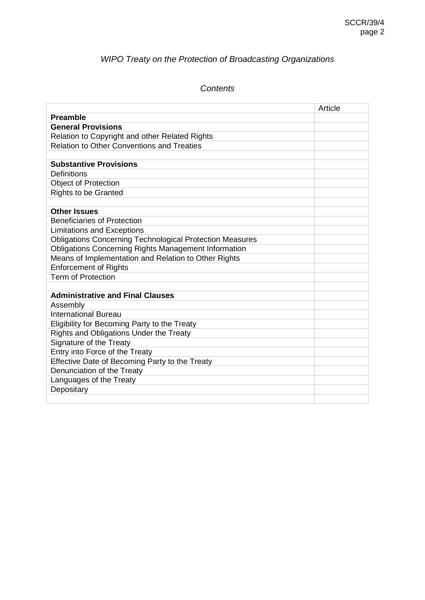# *WIPO Treaty on the Protection of Broadcasting Organizations*

# *Contents*

|                                                                 | Article |
|-----------------------------------------------------------------|---------|
| <b>Preamble</b>                                                 |         |
| <b>General Provisions</b>                                       |         |
| Relation to Copyright and other Related Rights                  |         |
| <b>Relation to Other Conventions and Treaties</b>               |         |
|                                                                 |         |
| <b>Substantive Provisions</b>                                   |         |
| Definitions                                                     |         |
| <b>Object of Protection</b>                                     |         |
| <b>Rights to be Granted</b>                                     |         |
|                                                                 |         |
| <b>Other Issues</b>                                             |         |
| <b>Beneficiaries of Protection</b>                              |         |
| <b>Limitations and Exceptions</b>                               |         |
| <b>Obligations Concerning Technological Protection Measures</b> |         |
| Obligations Concerning Rights Management Information            |         |
| Means of Implementation and Relation to Other Rights            |         |
| <b>Enforcement of Rights</b>                                    |         |
| <b>Term of Protection</b>                                       |         |
|                                                                 |         |
| <b>Administrative and Final Clauses</b>                         |         |
| Assembly                                                        |         |
| <b>International Bureau</b>                                     |         |
| Eligibility for Becoming Party to the Treaty                    |         |
| Rights and Obligations Under the Treaty                         |         |
| Signature of the Treaty                                         |         |
| Entry into Force of the Treaty                                  |         |
| Effective Date of Becoming Party to the Treaty                  |         |
| Denunciation of the Treaty                                      |         |
| Languages of the Treaty                                         |         |
| Depositary                                                      |         |
|                                                                 |         |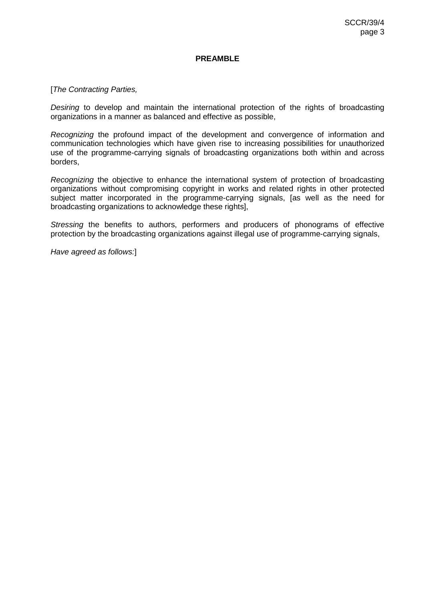#### **PREAMBLE**

#### [*The Contracting Parties,*

*Desiring* to develop and maintain the international protection of the rights of broadcasting organizations in a manner as balanced and effective as possible,

*Recognizing* the profound impact of the development and convergence of information and communication technologies which have given rise to increasing possibilities for unauthorized use of the programme-carrying signals of broadcasting organizations both within and across borders,

*Recognizing* the objective to enhance the international system of protection of broadcasting organizations without compromising copyright in works and related rights in other protected subject matter incorporated in the programme-carrying signals, [as well as the need for broadcasting organizations to acknowledge these rights],

*Stressing* the benefits to authors, performers and producers of phonograms of effective protection by the broadcasting organizations against illegal use of programme-carrying signals,

*Have agreed as follows:*]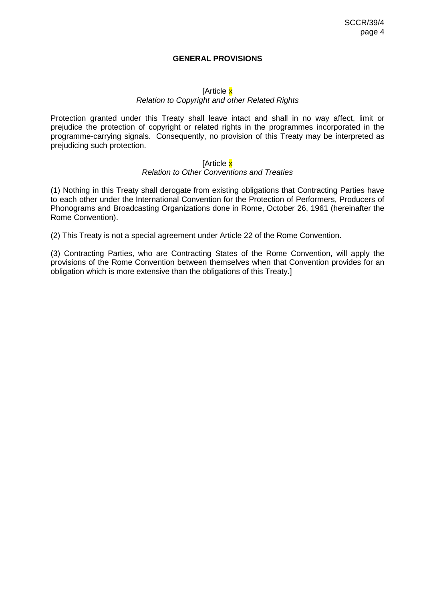#### **GENERAL PROVISIONS**

#### [Article x

#### *Relation to Copyright and other Related Rights*

Protection granted under this Treaty shall leave intact and shall in no way affect, limit or prejudice the protection of copyright or related rights in the programmes incorporated in the programme-carrying signals. Consequently, no provision of this Treaty may be interpreted as prejudicing such protection.

#### [Article x

#### *Relation to Other Conventions and Treaties*

(1) Nothing in this Treaty shall derogate from existing obligations that Contracting Parties have to each other under the International Convention for the Protection of Performers, Producers of Phonograms and Broadcasting Organizations done in Rome, October 26, 1961 (hereinafter the Rome Convention).

(2) This Treaty is not a special agreement under Article 22 of the Rome Convention.

(3) Contracting Parties, who are Contracting States of the Rome Convention, will apply the provisions of the Rome Convention between themselves when that Convention provides for an obligation which is more extensive than the obligations of this Treaty.]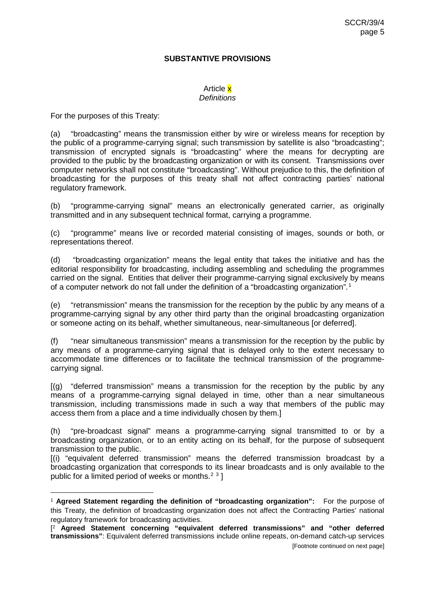#### **SUBSTANTIVE PROVISIONS**

#### Article x *Definitions*

For the purposes of this Treaty:

(a) "broadcasting" means the transmission either by wire or wireless means for reception by the public of a programme-carrying signal; such transmission by satellite is also "broadcasting"; transmission of encrypted signals is "broadcasting" where the means for decrypting are provided to the public by the broadcasting organization or with its consent. Transmissions over computer networks shall not constitute "broadcasting". Without prejudice to this, the definition of broadcasting for the purposes of this treaty shall not affect contracting parties' national regulatory framework.

(b) "programme-carrying signal" means an electronically generated carrier, as originally transmitted and in any subsequent technical format, carrying a programme.

(c) "programme" means live or recorded material consisting of images, sounds or both, or representations thereof.

(d) "broadcasting organization" means the legal entity that takes the initiative and has the editorial responsibility for broadcasting, including assembling and scheduling the programmes carried on the signal. Entities that deliver their programme-carrying signal exclusively by means of a computer network do not fall under the definition of a "broadcasting organization"*.* [1](#page-4-0)

(e) "retransmission" means the transmission for the reception by the public by any means of a programme-carrying signal by any other third party than the original broadcasting organization or someone acting on its behalf, whether simultaneous, near-simultaneous [or deferred].

(f) "near simultaneous transmission" means a transmission for the reception by the public by any means of a programme-carrying signal that is delayed only to the extent necessary to accommodate time differences or to facilitate the technical transmission of the programmecarrying signal.

[(g) "deferred transmission" means a transmission for the reception by the public by any means of a programme-carrying signal delayed in time, other than a near simultaneous transmission, including transmissions made in such a way that members of the public may access them from a place and a time individually chosen by them.]

(h) "pre-broadcast signal" means a programme-carrying signal transmitted to or by a broadcasting organization, or to an entity acting on its behalf, for the purpose of subsequent transmission to the public.

[(i) "equivalent deferred transmission" means the deferred transmission broadcast by a broadcasting organization that corresponds to its linear broadcasts and is only available to the public for a limited period of weeks or months.<sup>[2](#page-4-1) [3](#page-4-2)</sup> ]

<span id="page-4-0"></span> <sup>1</sup> **Agreed Statement regarding the definition of "broadcasting organization":** For the purpose of this Treaty, the definition of broadcasting organization does not affect the Contracting Parties' national regulatory framework for broadcasting activities.

<span id="page-4-2"></span><span id="page-4-1"></span><sup>[</sup> <sup>2</sup> **Agreed Statement concerning "equivalent deferred transmissions" and "other deferred transmissions"**: Equivalent deferred transmissions include online repeats, on-demand catch-up services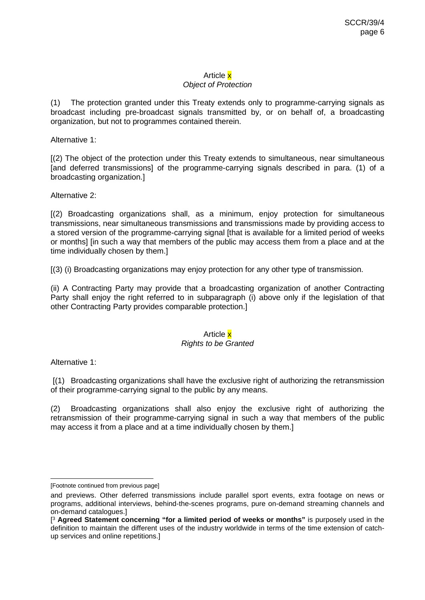## Article x

#### *Object of Protection*

(1) The protection granted under this Treaty extends only to programme-carrying signals as broadcast including pre-broadcast signals transmitted by, or on behalf of, a broadcasting organization, but not to programmes contained therein.

Alternative 1:

[(2) The object of the protection under this Treaty extends to simultaneous, near simultaneous [and deferred transmissions] of the programme-carrying signals described in para. (1) of a broadcasting organization.]

Alternative 2:

[(2) Broadcasting organizations shall, as a minimum, enjoy protection for simultaneous transmissions, near simultaneous transmissions and transmissions made by providing access to a stored version of the programme-carrying signal [that is available for a limited period of weeks or months] [in such a way that members of the public may access them from a place and at the time individually chosen by them.]

[(3) (i) Broadcasting organizations may enjoy protection for any other type of transmission.

(ii) A Contracting Party may provide that a broadcasting organization of another Contracting Party shall enjoy the right referred to in subparagraph (i) above only if the legislation of that other Contracting Party provides comparable protection.]

## Article x

#### *Rights to be Granted*

Alternative 1:

[(1) Broadcasting organizations shall have the exclusive right of authorizing the retransmission of their programme-carrying signal to the public by any means.

(2) Broadcasting organizations shall also enjoy the exclusive right of authorizing the retransmission of their programme-carrying signal in such a way that members of the public may access it from a place and at a time individually chosen by them.]

 <sup>[</sup>Footnote continued from previous page]

and previews. Other deferred transmissions include parallel sport events, extra footage on news or programs, additional interviews, behind-the-scenes programs, pure on-demand streaming channels and on-demand catalogues.]

<sup>[</sup> <sup>3</sup> **Agreed Statement concerning "for a limited period of weeks or months"** is purposely used in the definition to maintain the different uses of the industry worldwide in terms of the time extension of catchup services and online repetitions.]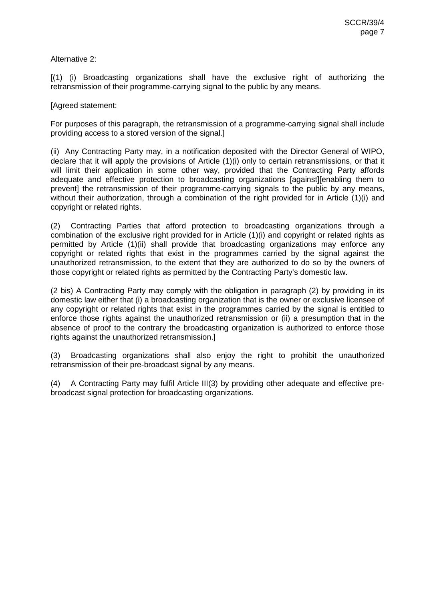Alternative 2:

[(1) (i) Broadcasting organizations shall have the exclusive right of authorizing the retransmission of their programme-carrying signal to the public by any means.

[Agreed statement:

For purposes of this paragraph, the retransmission of a programme-carrying signal shall include providing access to a stored version of the signal.]

(ii) Any Contracting Party may, in a notification deposited with the Director General of WIPO, declare that it will apply the provisions of Article (1)(i) only to certain retransmissions, or that it will limit their application in some other way, provided that the Contracting Party affords adequate and effective protection to broadcasting organizations [against][enabling them to prevent] the retransmission of their programme-carrying signals to the public by any means, without their authorization, through a combination of the right provided for in Article (1)(i) and copyright or related rights.

(2) Contracting Parties that afford protection to broadcasting organizations through a combination of the exclusive right provided for in Article (1)(i) and copyright or related rights as permitted by Article (1)(ii) shall provide that broadcasting organizations may enforce any copyright or related rights that exist in the programmes carried by the signal against the unauthorized retransmission, to the extent that they are authorized to do so by the owners of those copyright or related rights as permitted by the Contracting Party's domestic law.

(2 bis) A Contracting Party may comply with the obligation in paragraph (2) by providing in its domestic law either that (i) a broadcasting organization that is the owner or exclusive licensee of any copyright or related rights that exist in the programmes carried by the signal is entitled to enforce those rights against the unauthorized retransmission or (ii) a presumption that in the absence of proof to the contrary the broadcasting organization is authorized to enforce those rights against the unauthorized retransmission.]

(3) Broadcasting organizations shall also enjoy the right to prohibit the unauthorized retransmission of their pre-broadcast signal by any means.

(4) A Contracting Party may fulfil Article III(3) by providing other adequate and effective prebroadcast signal protection for broadcasting organizations.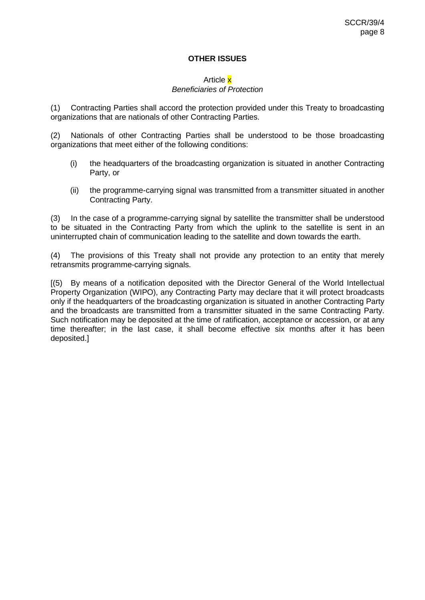#### **OTHER ISSUES**

#### Article x *Beneficiaries of Protection*

(1) Contracting Parties shall accord the protection provided under this Treaty to broadcasting organizations that are nationals of other Contracting Parties.

(2) Nationals of other Contracting Parties shall be understood to be those broadcasting organizations that meet either of the following conditions:

- (i) the headquarters of the broadcasting organization is situated in another Contracting Party, or
- (ii) the programme-carrying signal was transmitted from a transmitter situated in another Contracting Party.

(3) In the case of a programme-carrying signal by satellite the transmitter shall be understood to be situated in the Contracting Party from which the uplink to the satellite is sent in an uninterrupted chain of communication leading to the satellite and down towards the earth.

(4) The provisions of this Treaty shall not provide any protection to an entity that merely retransmits programme-carrying signals.

[(5) By means of a notification deposited with the Director General of the World Intellectual Property Organization (WIPO), any Contracting Party may declare that it will protect broadcasts only if the headquarters of the broadcasting organization is situated in another Contracting Party and the broadcasts are transmitted from a transmitter situated in the same Contracting Party. Such notification may be deposited at the time of ratification, acceptance or accession, or at any time thereafter; in the last case, it shall become effective six months after it has been deposited.]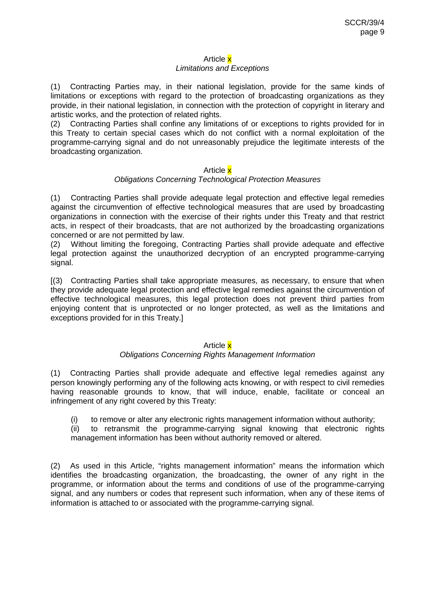#### Article x *Limitations and Exceptions*

(1) Contracting Parties may, in their national legislation, provide for the same kinds of limitations or exceptions with regard to the protection of broadcasting organizations as they provide, in their national legislation, in connection with the protection of copyright in literary and artistic works, and the protection of related rights.

(2) Contracting Parties shall confine any limitations of or exceptions to rights provided for in this Treaty to certain special cases which do not conflict with a normal exploitation of the programme-carrying signal and do not unreasonably prejudice the legitimate interests of the broadcasting organization.

#### Article x

#### *Obligations Concerning Technological Protection Measures*

(1) Contracting Parties shall provide adequate legal protection and effective legal remedies against the circumvention of effective technological measures that are used by broadcasting organizations in connection with the exercise of their rights under this Treaty and that restrict acts, in respect of their broadcasts, that are not authorized by the broadcasting organizations concerned or are not permitted by law.

(2) Without limiting the foregoing, Contracting Parties shall provide adequate and effective legal protection against the unauthorized decryption of an encrypted programme-carrying signal.

[(3) Contracting Parties shall take appropriate measures, as necessary, to ensure that when they provide adequate legal protection and effective legal remedies against the circumvention of effective technological measures, this legal protection does not prevent third parties from enjoying content that is unprotected or no longer protected, as well as the limitations and exceptions provided for in this Treaty.]

#### Article x

#### *Obligations Concerning Rights Management Information*

(1) Contracting Parties shall provide adequate and effective legal remedies against any person knowingly performing any of the following acts knowing, or with respect to civil remedies having reasonable grounds to know, that will induce, enable, facilitate or conceal an infringement of any right covered by this Treaty:

(i) to remove or alter any electronic rights management information without authority;

(ii) to retransmit the programme-carrying signal knowing that electronic rights management information has been without authority removed or altered.

(2) As used in this Article, "rights management information" means the information which identifies the broadcasting organization, the broadcasting, the owner of any right in the programme, or information about the terms and conditions of use of the programme-carrying signal, and any numbers or codes that represent such information, when any of these items of information is attached to or associated with the programme-carrying signal.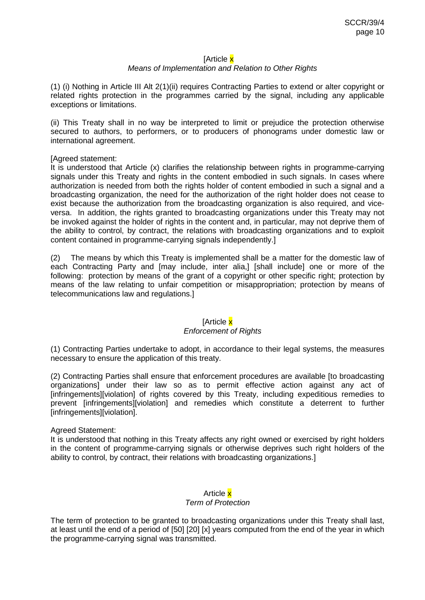#### [Article x

#### *Means of Implementation and Relation to Other Rights*

(1) (i) Nothing in Article III Alt 2(1)(ii) requires Contracting Parties to extend or alter copyright or related rights protection in the programmes carried by the signal, including any applicable exceptions or limitations.

(ii) This Treaty shall in no way be interpreted to limit or prejudice the protection otherwise secured to authors, to performers, or to producers of phonograms under domestic law or international agreement.

#### [Agreed statement:

It is understood that Article (x) clarifies the relationship between rights in programme-carrying signals under this Treaty and rights in the content embodied in such signals. In cases where authorization is needed from both the rights holder of content embodied in such a signal and a broadcasting organization, the need for the authorization of the right holder does not cease to exist because the authorization from the broadcasting organization is also required, and viceversa. In addition, the rights granted to broadcasting organizations under this Treaty may not be invoked against the holder of rights in the content and, in particular, may not deprive them of the ability to control, by contract, the relations with broadcasting organizations and to exploit content contained in programme-carrying signals independently.]

(2) The means by which this Treaty is implemented shall be a matter for the domestic law of each Contracting Party and [may include, inter alia,] [shall include] one or more of the following: protection by means of the grant of a copyright or other specific right; protection by means of the law relating to unfair competition or misappropriation; protection by means of telecommunications law and regulations.]

#### [Article <mark>x</mark>

#### *Enforcement of Rights*

(1) Contracting Parties undertake to adopt, in accordance to their legal systems, the measures necessary to ensure the application of this treaty.

(2) Contracting Parties shall ensure that enforcement procedures are available [to broadcasting organizations] under their law so as to permit effective action against any act of [infringements][violation] of rights covered by this Treaty, including expeditious remedies to prevent [infringements][violation] and remedies which constitute a deterrent to further [infringements][violation].

#### Agreed Statement:

It is understood that nothing in this Treaty affects any right owned or exercised by right holders in the content of programme-carrying signals or otherwise deprives such right holders of the ability to control, by contract, their relations with broadcasting organizations.]

### Article x *Term of Protection*

The term of protection to be granted to broadcasting organizations under this Treaty shall last, at least until the end of a period of [50] [20] [x] years computed from the end of the year in which the programme-carrying signal was transmitted.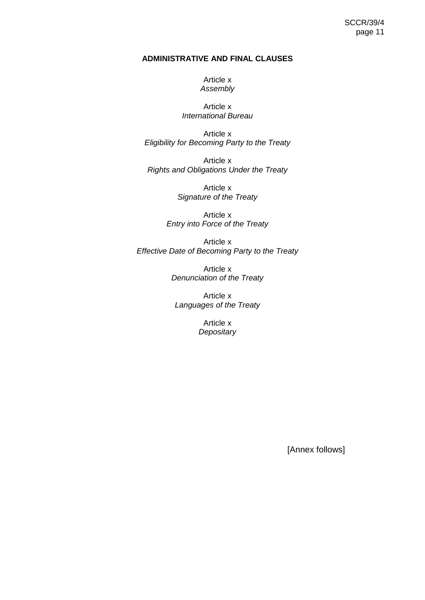#### **ADMINISTRATIVE AND FINAL CLAUSES**

Article x *Assembly*

Article x *International Bureau*

Article x *Eligibility for Becoming Party to the Treaty*

Article x *Rights and Obligations Under the Treaty*

> Article x *Signature of the Treaty*

Article x *Entry into Force of the Treaty*

Article x *Effective Date of Becoming Party to the Treaty*

> Article x *Denunciation of the Treaty*

Article x *Languages of the Treaty*

> Article x *Depositary*

> > [Annex follows]